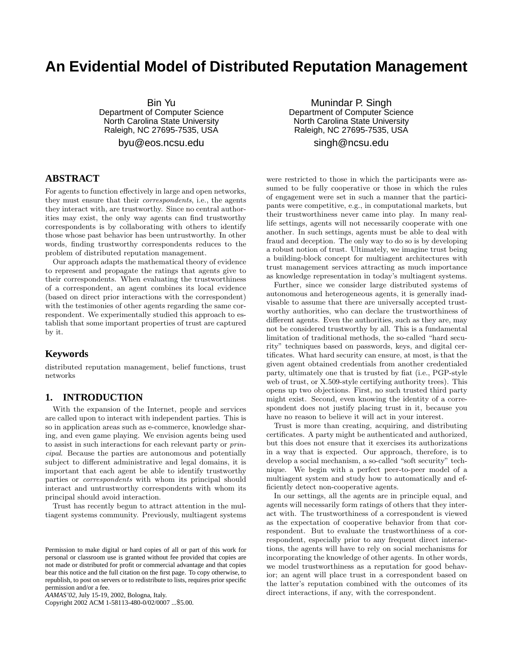# **An Evidential Model of Distributed Reputation Management**

Bin Yu Department of Computer Science North Carolina State University Raleigh, NC 27695-7535, USA

byu@eos.ncsu.edu

# **ABSTRACT**

For agents to function effectively in large and open networks, they must ensure that their correspondents, i.e., the agents they interact with, are trustworthy. Since no central authorities may exist, the only way agents can find trustworthy correspondents is by collaborating with others to identify those whose past behavior has been untrustworthy. In other words, finding trustworthy correspondents reduces to the problem of distributed reputation management.

Our approach adapts the mathematical theory of evidence to represent and propagate the ratings that agents give to their correspondents. When evaluating the trustworthiness of a correspondent, an agent combines its local evidence (based on direct prior interactions with the correspondent) with the testimonies of other agents regarding the same correspondent. We experimentally studied this approach to establish that some important properties of trust are captured by it.

#### **Keywords**

distributed reputation management, belief functions, trust networks

# **1. INTRODUCTION**

With the expansion of the Internet, people and services are called upon to interact with independent parties. This is so in application areas such as e-commerce, knowledge sharing, and even game playing. We envision agents being used to assist in such interactions for each relevant party or principal. Because the parties are autonomous and potentially subject to different administrative and legal domains, it is important that each agent be able to identify trustworthy parties or correspondents with whom its principal should interact and untrustworthy correspondents with whom its principal should avoid interaction.

Trust has recently begun to attract attention in the multiagent systems community. Previously, multiagent systems

Copyright 2002 ACM 1-58113-480-0/02/0007 ...\$5.00.

Munindar P. Singh Department of Computer Science North Carolina State University Raleigh, NC 27695-7535, USA singh@ncsu.edu

were restricted to those in which the participants were assumed to be fully cooperative or those in which the rules of engagement were set in such a manner that the participants were competitive, e.g., in computational markets, but their trustworthiness never came into play. In many reallife settings, agents will not necessarily cooperate with one another. In such settings, agents must be able to deal with fraud and deception. The only way to do so is by developing a robust notion of trust. Ultimately, we imagine trust being a building-block concept for multiagent architectures with trust management services attracting as much importance as knowledge representation in today's multiagent systems.

Further, since we consider large distributed systems of autonomous and heterogeneous agents, it is generally inadvisable to assume that there are universally accepted trustworthy authorities, who can declare the trustworthiness of different agents. Even the authorities, such as they are, may not be considered trustworthy by all. This is a fundamental limitation of traditional methods, the so-called "hard security" techniques based on passwords, keys, and digital certificates. What hard security can ensure, at most, is that the given agent obtained credentials from another credentialed party, ultimately one that is trusted by fiat (i.e., PGP-style web of trust, or X.509-style certifying authority trees). This opens up two objections. First, no such trusted third party might exist. Second, even knowing the identity of a correspondent does not justify placing trust in it, because you have no reason to believe it will act in your interest.

Trust is more than creating, acquiring, and distributing certificates. A party might be authenticated and authorized, but this does not ensure that it exercises its authorizations in a way that is expected. Our approach, therefore, is to develop a social mechanism, a so-called "soft security" technique. We begin with a perfect peer-to-peer model of a multiagent system and study how to automatically and efficiently detect non-cooperative agents.

In our settings, all the agents are in principle equal, and agents will necessarily form ratings of others that they interact with. The trustworthiness of a correspondent is viewed as the expectation of cooperative behavior from that correspondent. But to evaluate the trustworthiness of a correspondent, especially prior to any frequent direct interactions, the agents will have to rely on social mechanisms for incorporating the knowledge of other agents. In other words, we model trustworthiness as a reputation for good behavior; an agent will place trust in a correspondent based on the latter's reputation combined with the outcomes of its direct interactions, if any, with the correspondent.

Permission to make digital or hard copies of all or part of this work for personal or classroom use is granted without fee provided that copies are not made or distributed for profit or commercial advantage and that copies bear this notice and the full citation on the first page. To copy otherwise, to republish, to post on servers or to redistribute to lists, requires prior specific permission and/or a fee.

*AAMAS'02,* July 15-19, 2002, Bologna, Italy.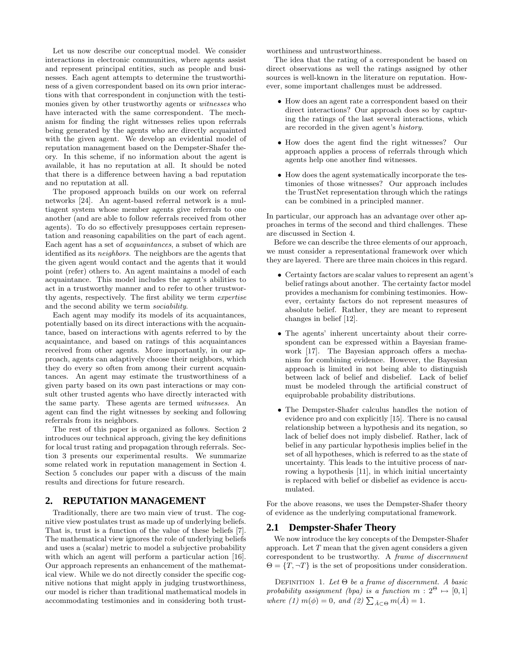Let us now describe our conceptual model. We consider interactions in electronic communities, where agents assist and represent principal entities, such as people and businesses. Each agent attempts to determine the trustworthiness of a given correspondent based on its own prior interactions with that correspondent in conjunction with the testimonies given by other trustworthy agents or witnesses who have interacted with the same correspondent. The mechanism for finding the right witnesses relies upon referrals being generated by the agents who are directly acquainted with the given agent. We develop an evidential model of reputation management based on the Dempster-Shafer theory. In this scheme, if no information about the agent is available, it has no reputation at all. It should be noted that there is a difference between having a bad reputation and no reputation at all.

The proposed approach builds on our work on referral networks [24]. An agent-based referral network is a multiagent system whose member agents give referrals to one another (and are able to follow referrals received from other agents). To do so effectively presupposes certain representation and reasoning capabilities on the part of each agent. Each agent has a set of acquaintances, a subset of which are identified as its neighbors. The neighbors are the agents that the given agent would contact and the agents that it would point (refer) others to. An agent maintains a model of each acquaintance. This model includes the agent's abilities to act in a trustworthy manner and to refer to other trustworthy agents, respectively. The first ability we term expertise and the second ability we term sociability.

Each agent may modify its models of its acquaintances, potentially based on its direct interactions with the acquaintance, based on interactions with agents referred to by the acquaintance, and based on ratings of this acquaintances received from other agents. More importantly, in our approach, agents can adaptively choose their neighbors, which they do every so often from among their current acquaintances. An agent may estimate the trustworthiness of a given party based on its own past interactions or may consult other trusted agents who have directly interacted with the same party. These agents are termed witnesses. An agent can find the right witnesses by seeking and following referrals from its neighbors.

The rest of this paper is organized as follows. Section 2 introduces our technical approach, giving the key definitions for local trust rating and propagation through referrals. Section 3 presents our experimental results. We summarize some related work in reputation management in Section 4. Section 5 concludes our paper with a discuss of the main results and directions for future research.

# **2. REPUTATION MANAGEMENT**

Traditionally, there are two main view of trust. The cognitive view postulates trust as made up of underlying beliefs. That is, trust is a function of the value of these beliefs [7]. The mathematical view ignores the role of underlying beliefs and uses a (scalar) metric to model a subjective probability with which an agent will perform a particular action [16]. Our approach represents an enhancement of the mathematical view. While we do not directly consider the specific cognitive notions that might apply in judging trustworthiness, our model is richer than traditional mathematical models in accommodating testimonies and in considering both trustworthiness and untrustworthiness.

The idea that the rating of a correspondent be based on direct observations as well the ratings assigned by other sources is well-known in the literature on reputation. However, some important challenges must be addressed.

- How does an agent rate a correspondent based on their direct interactions? Our approach does so by capturing the ratings of the last several interactions, which are recorded in the given agent's history.
- How does the agent find the right witnesses? Our approach applies a process of referrals through which agents help one another find witnesses.
- How does the agent systematically incorporate the testimonies of those witnesses? Our approach includes the TrustNet representation through which the ratings can be combined in a principled manner.

In particular, our approach has an advantage over other approaches in terms of the second and third challenges. These are discussed in Section 4.

Before we can describe the three elements of our approach, we must consider a representational framework over which they are layered. There are three main choices in this regard.

- Certainty factors are scalar values to represent an agent's belief ratings about another. The certainty factor model provides a mechanism for combining testimonies. However, certainty factors do not represent measures of absolute belief. Rather, they are meant to represent changes in belief [12].
- The agents' inherent uncertainty about their correspondent can be expressed within a Bayesian framework [17]. The Bayesian approach offers a mechanism for combining evidence. However, the Bayesian approach is limited in not being able to distinguish between lack of belief and disbelief. Lack of belief must be modeled through the artificial construct of equiprobable probability distributions.
- The Dempster-Shafer calculus handles the notion of evidence pro and con explicitly [15]. There is no causal relationship between a hypothesis and its negation, so lack of belief does not imply disbelief. Rather, lack of belief in any particular hypothesis implies belief in the set of all hypotheses, which is referred to as the state of uncertainty. This leads to the intuitive process of narrowing a hypothesis [11], in which initial uncertainty is replaced with belief or disbelief as evidence is accumulated.

For the above reasons, we uses the Dempster-Shafer theory of evidence as the underlying computational framework.

## **2.1 Dempster-Shafer Theory**

We now introduce the key concepts of the Dempster-Shafer approach. Let  $T$  mean that the given agent considers a given correspondent to be trustworthy. A frame of discernment  $\Theta = \{T, \neg T\}$  is the set of propositions under consideration.

DEFINITION 1. Let  $\Theta$  be a frame of discernment. A basic probability assignment (bpa) is a function  $m: 2^{\Theta} \mapsto [0, 1]$ where (1)  $m(\phi) = 0$ , and (2)  $\sum_{\hat{A} \subset \Theta} m(\hat{A}) = 1$ .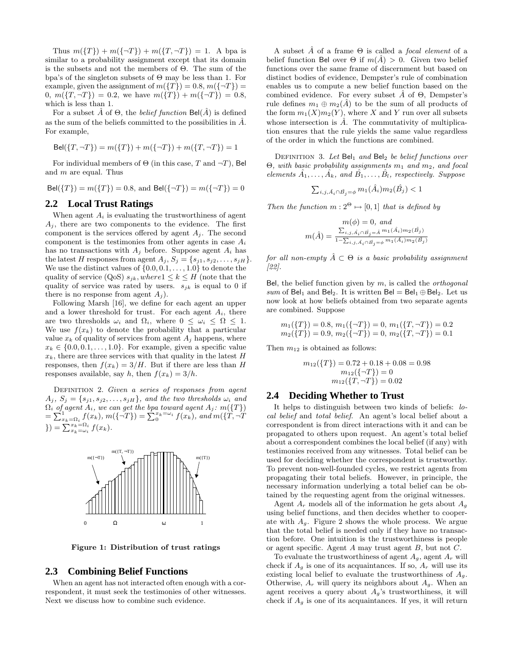Thus  $m({T}) + m({-\tau}) + m({T,-T}) = 1$ . A bpa is similar to a probability assignment except that its domain is the subsets and not the members of Θ. The sum of the bpa's of the singleton subsets of Θ may be less than 1. For example, given the assignment of  $m({T}) = 0.8, m({-\tau}) =$ 0,  $m({T, \neg T}) = 0.2$ , we have  $m({T}) + m({\neg T}) = 0.8$ , which is less than 1.

For a subset A of  $\Theta$ , the *belief function*  $Bel(A)$  is defined as the sum of the beliefs committed to the possibilities in  $\hat{A}$ . For example,

$$
Bel({T, \neg T}) = m({T}) + m({\neg T}) + m({T, \neg T}) = 1
$$

For individual members of  $\Theta$  (in this case, T and  $\neg$ T), Bel and m are equal. Thus

 $Bel({T}) = m({T}) = 0.8$ , and  $Bel({\neg T}) = m({\neg T}) = 0$ 

# **2.2 Local Trust Ratings**

When agent  $A_i$  is evaluating the trustworthiness of agent  $A_i$ , there are two components to the evidence. The first component is the services offered by agent  $A_i$ . The second component is the testimonies from other agents in case  $A_i$ has no transactions with  $A_i$  before. Suppose agent  $A_i$  has the latest H responses from agent  $A_i, S_i = \{s_{i1}, s_{i2}, \ldots, s_{jH}\}$ We use the distinct values of  $\{0.0, 0.1, \ldots, 1.0\}$  to denote the quality of service (QoS)  $s_{ik}$ , where  $1 \leq k \leq H$  (note that the quality of service was rated by users.  $s_{ik}$  is equal to 0 if there is no response from agent  $A_j$ ).

Following Marsh [16], we define for each agent an upper and a lower threshold for trust. For each agent  $A_i$ , there are two thresholds  $\omega_i$  and  $\Omega_i$ , where  $0 \leq \omega_i \leq \Omega \leq 1$ . We use  $f(x_k)$  to denote the probability that a particular value  $x_k$  of quality of services from agent  $A_i$  happens, where  $x_k \in \{0.0, 0.1, \ldots, 1.0\}$ . For example, given a specific value  $x_k$ , there are three services with that quality in the latest H responses, then  $f(x_k) = 3/H$ . But if there are less than H responses available, say h, then  $f(x_k) = 3/h$ .

DEFINITION 2. Given a series of responses from agent  $A_j, S_j = \{s_{j1}, s_{j2}, \ldots, s_{jH}\}\$ , and the two thresholds  $\omega_i$  and  $\Omega_i$  of agent  $A_i$ , we can get the bpa toward agent  $A_j$ :  $m({\{T\}})$  $=\sum_{x_k=\Omega_i}^{1} f(x_k), m(\{\neg T\}) = \sum_{0}^{x_k=\omega_i} f(x_k), and m(\{\Upsilon, \neg T\})$  $\}$ ) =  $\sum_{k=0}^{x_k} \sum_{k=0}^{n} f(x_k)$ .



Figure 1: Distribution of trust ratings

#### **2.3 Combining Belief Functions**

When an agent has not interacted often enough with a correspondent, it must seek the testimonies of other witnesses. Next we discuss how to combine such evidence.

A subset  $\hat{A}$  of a frame  $\Theta$  is called a *focal element* of a belief function Bel over  $\Theta$  if  $m(\hat{A}) > 0$ . Given two belief functions over the same frame of discernment but based on distinct bodies of evidence, Dempster's rule of combination enables us to compute a new belief function based on the combined evidence. For every subset A of  $\Theta$ , Dempster's rule defines  $m_1 \oplus m_2(A)$  to be the sum of all products of the form  $m_1(X)m_2(Y)$ , where X and Y run over all subsets whose intersection is  $\hat{A}$ . The commutativity of multiplication ensures that the rule yields the same value regardless of the order in which the functions are combined.

DEFINITION 3. Let  $Bel_1$  and  $Bel_2$  be belief functions over  $\Theta$ , with basic probability assignments  $m_1$  and  $m_2$ , and focal elements  $\hat{A}_1, \ldots, \hat{A}_k$ , and  $\hat{B}_1, \ldots, \hat{B}_l$ , respectively. Suppose

$$
\textstyle \sum_{i,j,\hat{A}_i \cap \hat{B}_j = \phi} m_1(\hat{A}_i) m_2(\hat{B}_j) < 1
$$

Then the function  $m: 2^{\Theta} \mapsto [0, 1]$  that is defined by

$$
m(\phi) = 0, \text{ and}
$$

$$
m(\hat{A}) = \frac{\sum_{i,j, \hat{A}_i \cap \hat{B}_j = \hat{A}} m_1(\hat{A}_i) m_2(\hat{B}_j)}{1 - \sum_{i,j, \hat{A}_i \cap \hat{B}_j = \phi} m_1(\hat{A}_i) m_2(\hat{B}_j)}
$$

for all non-empty  $\hat{A} \subset \Theta$  is a basic probability assignment [22].

Bel, the belief function given by  $m$ , is called the *orthogonal* sum of Bel<sub>1</sub> and Bel<sub>2</sub>. It is written Bel = Bel<sub>1</sub>  $\oplus$  Bel<sub>2</sub>. Let us now look at how beliefs obtained from two separate agents are combined. Suppose

$$
m_1({T}) = 0.8, m_1({\neg T}) = 0, m_1({T}, {\neg T}) = 0.2
$$
  

$$
m_2({T}) = 0.9, m_2({\neg T}) = 0, m_2({T}, {\neg T}) = 0.1
$$

Then  $m_{12}$  is obtained as follows:

$$
m_{12}({T}) = 0.72 + 0.18 + 0.08 = 0.98
$$

$$
m_{12}({-T}) = 0
$$

$$
m_{12}({T, T}) = 0.02
$$

# **2.4 Deciding Whether to Trust**

It helps to distinguish between two kinds of beliefs: local belief and total belief. An agent's local belief about a correspondent is from direct interactions with it and can be propagated to others upon request. An agent's total belief about a correspondent combines the local belief (if any) with testimonies received from any witnesses. Total belief can be used for deciding whether the correspondent is trustworthy. To prevent non-well-founded cycles, we restrict agents from propagating their total beliefs. However, in principle, the necessary information underlying a total belief can be obtained by the requesting agent from the original witnesses.

Agent  $A_r$  models all of the information he gets about  $A_q$ using belief functions, and then decides whether to cooperate with  $A<sub>g</sub>$ . Figure 2 shows the whole process. We argue that the total belief is needed only if they have no transaction before. One intuition is the trustworthiness is people or agent specific. Agent A may trust agent B, but not C.

To evaluate the trustworthiness of agent  $A_q$ , agent  $A_r$  will check if  $A_q$  is one of its acquaintances. If so,  $A_r$  will use its existing local belief to evaluate the trustworthiness of  $A<sub>a</sub>$ . Otherwise,  $A_r$  will query its neighbors about  $A_g$ . When an agent receives a query about  $A_g$ 's trustworthiness, it will check if  $A_g$  is one of its acquaintances. If yes, it will return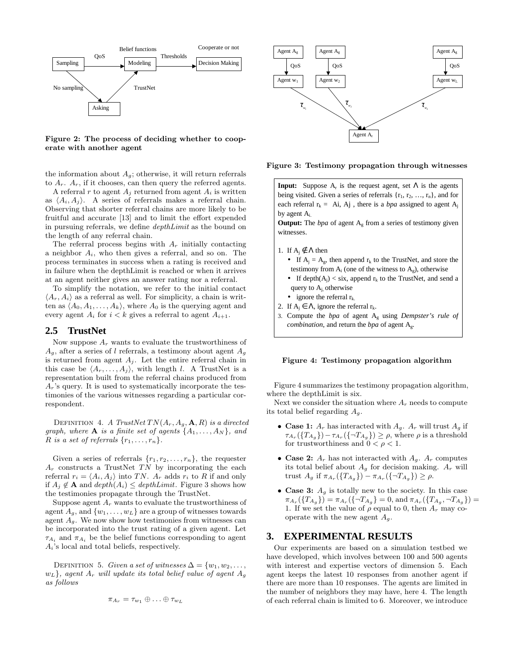

Figure 2: The process of deciding whether to cooperate with another agent

the information about  $A_g$ ; otherwise, it will return referrals to  $A_r$ .  $A_r$ , if it chooses, can then query the referred agents.

A referral r to agent  $A_j$  returned from agent  $A_i$  is written as  $\langle A_i, A_j \rangle$ . A series of referrals makes a referral chain. Observing that shorter referral chains are more likely to be fruitful and accurate [13] and to limit the effort expended in pursuing referrals, we define depthLimit as the bound on the length of any referral chain.

The referral process begins with  $A_r$  initially contacting a neighbor  $A_i$ , who then gives a referral, and so on. The process terminates in success when a rating is received and in failure when the depthLimit is reached or when it arrives at an agent neither gives an answer rating nor a referral.

To simplify the notation, we refer to the initial contact  $\langle A_r, A_i \rangle$  as a referral as well. For simplicity, a chain is written as  $\langle A_0, A_1, \ldots, A_k \rangle$ , where  $A_0$  is the querying agent and every agent  $A_i$  for  $i < k$  gives a referral to agent  $A_{i+1}$ .

#### **2.5 TrustNet**

Now suppose  $A_r$  wants to evaluate the trustworthiness of  $A_g$ , after a series of l referrals, a testimony about agent  $A_g$ is returned from agent  $A_j$ . Let the entire referral chain in this case be  $\langle A_r, \ldots, A_j \rangle$ , with length l. A TrustNet is a representation built from the referral chains produced from  $A_r$ 's query. It is used to systematically incorporate the testimonies of the various witnesses regarding a particular correspondent.

DEFINITION 4. A TrustNet  $TN(A_r, A_g, \mathbf{A}, R)$  is a directed graph, where **A** is a finite set of agents  $\{A_1, \ldots, A_N\}$ , and R is a set of referrals  $\{r_1, \ldots, r_n\}$ .

Given a series of referrals  $\{r_1, r_2, \ldots, r_n\}$ , the requester  $A_r$  constructs a TrustNet TN by incorporating the each referral  $r_i = \langle A_i, A_j \rangle$  into TN.  $A_r$  adds  $r_i$  to R if and only if  $A_j \notin \mathbf{A}$  and  $depth(A_i) \leq depthLimit$ . Figure 3 shows how the testimonies propagate through the TrustNet.

Suppose agent  $A_r$  wants to evaluate the trustworthiness of agent  $A_g$ , and  $\{w_1, \ldots, w_L\}$  are a group of witnesses towards agent  $A<sub>g</sub>$ . We now show how testimonies from witnesses can be incorporated into the trust rating of a given agent. Let  $\tau_{A_i}$  and  $\pi_{A_i}$  be the belief functions corresponding to agent  $A_i$ 's local and total beliefs, respectively.

DEFINITION 5. Given a set of witnesses  $\Delta = \{w_1, w_2, \ldots, w_n\}$  $w_L$ , agent  $A_r$  will update its total belief value of agent  $A_g$ as follows

$$
\pi_{A_r} = \tau_{w_1} \oplus \ldots \oplus \tau_{w_L}
$$



Figure 3: Testimony propagation through witnesses

**Input:** Suppose  $A_r$  is the request agent, set  $\Lambda$  is the agents being visited. Given a series of referrals  $\{r_1, r_2, ..., r_n\}$ , and for each referral  $r_k = \langle Ai, Aj \rangle$ , there is a *bpa* assigned to agent  $A_j$ by agent  $A_i$ .

**Output:** The  $bpa$  of agent  $A_g$  from a series of testimony given witnesses.

1. If  $A_i \notin \Lambda$  then

- If  $A_j = A_g$ , then append  $r_k$  to the TrustNet, and store the testimony from  $A_i$  (one of the witness to  $A_g$ ), otherwise
- If depth $(A_i) <$  six, append  $r_k$  to the TrustNet, and send a query to  $A_i$ , otherwise
- ignore the referral  $r_k$ .
- 2. If  $A_i \in \Lambda$ , ignore the referral  $r_k$ .
- 3. Compute the *bpa* of agent A<sup>g</sup> using *Dempster's rule of combination*, and return the *bpa* of agent Ag.

#### Figure 4: Testimony propagation algorithm

Figure 4 summarizes the testimony propagation algorithm, where the depthLimit is six.

Next we consider the situation where  $A_r$  needs to compute its total belief regarding  $A<sub>g</sub>$ .

- Case 1:  $A_r$  has interacted with  $A_g$ .  $A_r$  will trust  $A_g$  if  $\tau_{A_r}(\lbrace T_{A_g} \rbrace) - \tau_{A_r}(\lbrace \neg T_{A_g} \rbrace) \ge \rho$ , where  $\rho$  is a threshold for trustworthiness and  $0 < \rho < 1$ .
- Case 2:  $A_r$  has not interacted with  $A_g$ .  $A_r$  computes its total belief about  $A_g$  for decision making.  $A_r$  will trust  $A_g$  if  $\pi_{A_r}(\{T_{A_g}\}) - \pi_{A_r}(\{\neg T_{A_g}\}) \ge \rho$ .
- Case 3:  $A_q$  is totally new to the society. In this case  $\pi_{A_r}(\lbrace T_{A_g} \rbrace) = \pi_{A_r}(\lbrace \neg T_{A_g} \rbrace = 0, \text{ and } \pi_{A_r}(\lbrace T_{A_g}, \neg T_{A_g} \rbrace) =$ 1. If we set the value of  $\rho$  equal to 0, then  $A_r$  may cooperate with the new agent  $A<sub>g</sub>$ .

# **3. EXPERIMENTAL RESULTS**

Our experiments are based on a simulation testbed we have developed, which involves between 100 and 500 agents with interest and expertise vectors of dimension 5. Each agent keeps the latest 10 responses from another agent if there are more than 10 responses. The agents are limited in the number of neighbors they may have, here 4. The length of each referral chain is limited to 6. Moreover, we introduce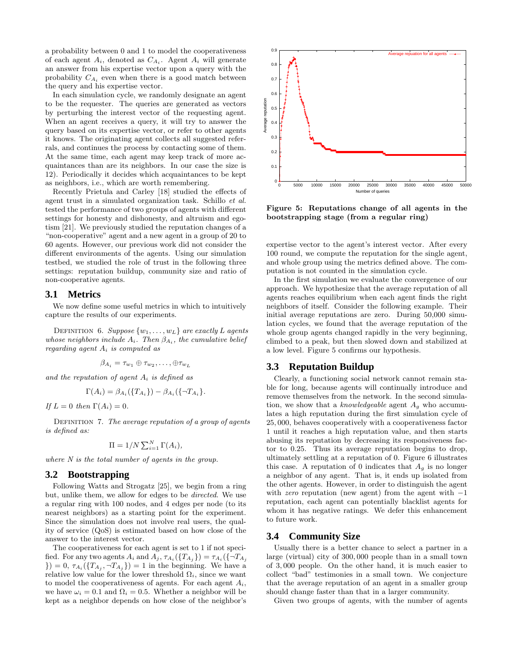a probability between 0 and 1 to model the cooperativeness of each agent  $A_i$ , denoted as  $C_{A_i}$ . Agent  $A_i$  will generate an answer from his expertise vector upon a query with the probability  $C_{A_i}$  even when there is a good match between the query and his expertise vector.

In each simulation cycle, we randomly designate an agent to be the requester. The queries are generated as vectors by perturbing the interest vector of the requesting agent. When an agent receives a query, it will try to answer the query based on its expertise vector, or refer to other agents it knows. The originating agent collects all suggested referrals, and continues the process by contacting some of them. At the same time, each agent may keep track of more acquaintances than are its neighbors. In our case the size is 12). Periodically it decides which acquaintances to be kept as neighbors, i.e., which are worth remembering.

Recently Prietula and Carley [18] studied the effects of agent trust in a simulated organization task. Schillo et al. tested the performance of two groups of agents with different settings for honesty and dishonesty, and altruism and egotism [21]. We previously studied the reputation changes of a "non-cooperative" agent and a new agent in a group of 20 to 60 agents. However, our previous work did not consider the different environments of the agents. Using our simulation testbed, we studied the role of trust in the following three settings: reputation buildup, community size and ratio of non-cooperative agents.

#### **3.1 Metrics**

We now define some useful metrics in which to intuitively capture the results of our experiments.

DEFINITION 6. Suppose  $\{w_1, \ldots, w_L\}$  are exactly L agents whose neighbors include  $A_i$ . Then  $\beta_{A_i}$ , the cumulative belief regarding agent  $A_i$  is computed as

$$
\beta_{A_i} = \tau_{w_1} \oplus \tau_{w_2}, \ldots, \oplus \tau_{w_L}
$$

and the reputation of agent  $A_i$  is defined as

$$
\Gamma(A_i) = \beta_{A_i}(\{T_{A_i}\}) - \beta_{A_i}(\{\neg T_{A_i}\}.
$$

If  $L = 0$  then  $\Gamma(A_i) = 0$ .

DEFINITION 7. The average reputation of a group of agents is defined as:

$$
\Pi = 1/N \sum_{i=1}^{N} \Gamma(A_i),
$$

where N is the total number of agents in the group.

#### **3.2 Bootstrapping**

Following Watts and Strogatz [25], we begin from a ring but, unlike them, we allow for edges to be directed. We use a regular ring with 100 nodes, and 4 edges per node (to its nearest neighbors) as a starting point for the experiment. Since the simulation does not involve real users, the quality of service (QoS) is estimated based on how close of the answer to the interest vector.

The cooperativeness for each agent is set to 1 if not specified. For any two agents  $A_i$  and  $A_j$ ,  $\tau_{A_i}(\{T_{A_j}\}) = \tau_{A_i}(\{\neg T_{A_j}\})$  $\{S\}=0, \tau_{A_i}(\{T_{A_j}, \neg T_{A_j}\})=1$  in the beginning. We have a relative low value for the lower threshold  $\Omega_i$ , since we want to model the cooperativeness of agents. For each agent  $A_i$ , we have  $\omega_i = 0.1$  and  $\Omega_i = 0.5$ . Whether a neighbor will be kept as a neighbor depends on how close of the neighbor's



Figure 5: Reputations change of all agents in the bootstrapping stage (from a regular ring)

expertise vector to the agent's interest vector. After every 100 round, we compute the reputation for the single agent, and whole group using the metrics defined above. The computation is not counted in the simulation cycle.

In the first simulation we evaluate the convergence of our approach. We hypothesize that the average reputation of all agents reaches equilibrium when each agent finds the right neighbors of itself. Consider the following example. Their initial average reputations are zero. During 50,000 simulation cycles, we found that the average reputation of the whole group agents changed rapidly in the very beginning, climbed to a peak, but then slowed down and stabilized at a low level. Figure 5 confirms our hypothesis.

#### **3.3 Reputation Buildup**

Clearly, a functioning social network cannot remain stable for long, because agents will continually introduce and remove themselves from the network. In the second simulation, we show that a knowledgeable agent  $A<sub>q</sub>$  who accumulates a high reputation during the first simulation cycle of 25, 000, behaves cooperatively with a cooperativeness factor 1 until it reaches a high reputation value, and then starts abusing its reputation by decreasing its responsiveness factor to 0.25. Thus its average reputation begins to drop, ultimately settling at a reputation of 0. Figure 6 illustrates this case. A reputation of 0 indicates that  $A<sub>g</sub>$  is no longer a neighbor of any agent. That is, it ends up isolated from the other agents. However, in order to distinguish the agent with zero reputation (new agent) from the agent with  $-1$ reputation, each agent can potentially blacklist agents for whom it has negative ratings. We defer this enhancement to future work.

#### **3.4 Community Size**

Usually there is a better chance to select a partner in a large (virtual) city of 300, 000 people than in a small town of 3, 000 people. On the other hand, it is much easier to collect "bad" testimonies in a small town. We conjecture that the average reputation of an agent in a smaller group should change faster than that in a larger community.

Given two groups of agents, with the number of agents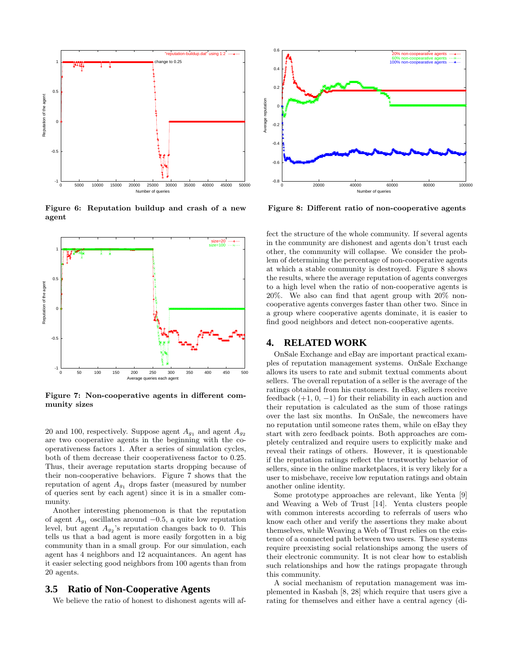

Figure 6: Reputation buildup and crash of a new agent



Figure 7: Non-cooperative agents in different community sizes

20 and 100, respectively. Suppose agent  $A_{g_1}$  and agent  $A_{g_2}$ are two cooperative agents in the beginning with the cooperativeness factors 1. After a series of simulation cycles, both of them decrease their cooperativeness factor to 0.25. Thus, their average reputation starts dropping because of their non-cooperative behaviors. Figure 7 shows that the reputation of agent  $A_{g_1}$  drops faster (measured by number of queries sent by each agent) since it is in a smaller community.

Another interesting phenomenon is that the reputation of agent  $A_{q_1}$  oscillates around −0.5, a quite low reputation level, but agent  $A_{g_2}$ 's reputation changes back to 0. This tells us that a bad agent is more easily forgotten in a big community than in a small group. For our simulation, each agent has 4 neighbors and 12 acquaintances. An agent has it easier selecting good neighbors from 100 agents than from 20 agents.

# **3.5 Ratio of Non-Cooperative Agents**

We believe the ratio of honest to dishonest agents will af-



Figure 8: Different ratio of non-cooperative agents

fect the structure of the whole community. If several agents in the community are dishonest and agents don't trust each other, the community will collapse. We consider the problem of determining the percentage of non-cooperative agents at which a stable community is destroyed. Figure 8 shows the results, where the average reputation of agents converges to a high level when the ratio of non-cooperative agents is 20%. We also can find that agent group with 20% noncooperative agents converges faster than other two. Since in a group where cooperative agents dominate, it is easier to find good neighbors and detect non-cooperative agents.

# **4. RELATED WORK**

OnSale Exchange and eBay are important practical examples of reputation management systems. OnSale Exchange allows its users to rate and submit textual comments about sellers. The overall reputation of a seller is the average of the ratings obtained from his customers. In eBay, sellers receive feedback  $(+1, 0, -1)$  for their reliability in each auction and their reputation is calculated as the sum of those ratings over the last six months. In OnSale, the newcomers have no reputation until someone rates them, while on eBay they start with zero feedback points. Both approaches are completely centralized and require users to explicitly make and reveal their ratings of others. However, it is questionable if the reputation ratings reflect the trustworthy behavior of sellers, since in the online marketplaces, it is very likely for a user to misbehave, receive low reputation ratings and obtain another online identity.

Some prototype approaches are relevant, like Yenta [9] and Weaving a Web of Trust [14]. Yenta clusters people with common interests according to referrals of users who know each other and verify the assertions they make about themselves, while Weaving a Web of Trust relies on the existence of a connected path between two users. These systems require preexisting social relationships among the users of their electronic community. It is not clear how to establish such relationships and how the ratings propagate through this community.

A social mechanism of reputation management was implemented in Kasbah [8, 28] which require that users give a rating for themselves and either have a central agency (di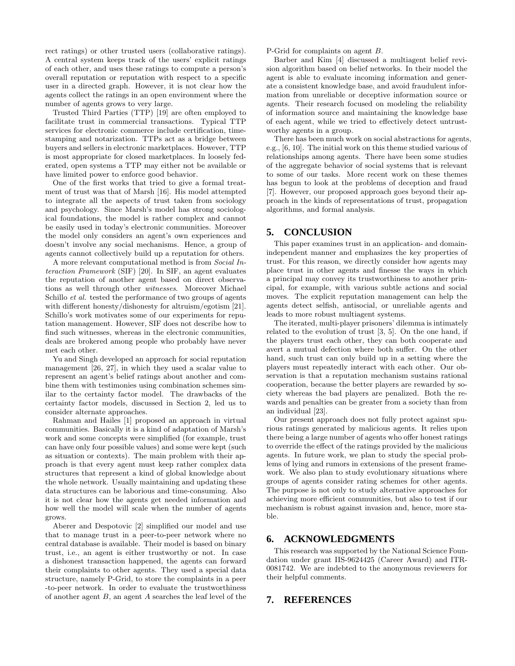rect ratings) or other trusted users (collaborative ratings). A central system keeps track of the users' explicit ratings of each other, and uses these ratings to compute a person's overall reputation or reputation with respect to a specific user in a directed graph. However, it is not clear how the agents collect the ratings in an open environment where the number of agents grows to very large.

Trusted Third Parties (TTP) [19] are often employed to facilitate trust in commercial transactions. Typical TTP services for electronic commerce include certification, timestamping and notarization. TTPs act as a bridge between buyers and sellers in electronic marketplaces. However, TTP is most appropriate for closed marketplaces. In loosely federated, open systems a TTP may either not be available or have limited power to enforce good behavior.

One of the first works that tried to give a formal treatment of trust was that of Marsh [16]. His model attempted to integrate all the aspects of trust taken from sociology and psychology. Since Marsh's model has strong sociological foundations, the model is rather complex and cannot be easily used in today's electronic communities. Moreover the model only considers an agent's own experiences and doesn't involve any social mechanisms. Hence, a group of agents cannot collectively build up a reputation for others.

A more relevant computational method is from Social Interaction Framework (SIF) [20]. In SIF, an agent evaluates the reputation of another agent based on direct observations as well through other witnesses. Moreover Michael Schillo *et al.* tested the performance of two groups of agents with different honesty/dishonesty for altruism/egotism [21]. Schillo's work motivates some of our experiments for reputation management. However, SIF does not describe how to find such witnesses, whereas in the electronic communities, deals are brokered among people who probably have never met each other.

Yu and Singh developed an approach for social reputation management [26, 27], in which they used a scalar value to represent an agent's belief ratings about another and combine them with testimonies using combination schemes similar to the certainty factor model. The drawbacks of the certainty factor models, discussed in Section 2, led us to consider alternate approaches.

Rahman and Hailes [1] proposed an approach in virtual communities. Basically it is a kind of adaptation of Marsh's work and some concepts were simplified (for example, trust can have only four possible values) and some were kept (such as situation or contexts). The main problem with their approach is that every agent must keep rather complex data structures that represent a kind of global knowledge about the whole network. Usually maintaining and updating these data structures can be laborious and time-consuming. Also it is not clear how the agents get needed information and how well the model will scale when the number of agents grows.

Aberer and Despotovic [2] simplified our model and use that to manage trust in a peer-to-peer network where no central database is available. Their model is based on binary trust, i.e., an agent is either trustworthy or not. In case a dishonest transaction happened, the agents can forward their complaints to other agents. They used a special data structure, namely P-Grid, to store the complaints in a peer -to-peer network. In order to evaluate the trustworthiness of another agent  $B$ , an agent  $A$  searches the leaf level of the P-Grid for complaints on agent B.

Barber and Kim [4] discussed a multiagent belief revision algorithm based on belief networks. In their model the agent is able to evaluate incoming information and generate a consistent knowledge base, and avoid fraudulent information from unreliable or deceptive information source or agents. Their research focused on modeling the reliability of information source and maintaining the knowledge base of each agent, while we tried to effectively detect untrustworthy agents in a group.

There has been much work on social abstractions for agents, e.g., [6, 10]. The initial work on this theme studied various of relationships among agents. There have been some studies of the aggregate behavior of social systems that is relevant to some of our tasks. More recent work on these themes has begun to look at the problems of deception and fraud [7]. However, our proposed approach goes beyond their approach in the kinds of representations of trust, propagation algorithms, and formal analysis.

# **5. CONCLUSION**

This paper examines trust in an application- and domainindependent manner and emphasizes the key properties of trust. For this reason, we directly consider how agents may place trust in other agents and finesse the ways in which a principal may convey its trustworthiness to another principal, for example, with various subtle actions and social moves. The explicit reputation management can help the agents detect selfish, antisocial, or unreliable agents and leads to more robust multiagent systems.

The iterated, multi-player prisoners' dilemma is intimately related to the evolution of trust [3, 5]. On the one hand, if the players trust each other, they can both cooperate and avert a mutual defection where both suffer. On the other hand, such trust can only build up in a setting where the players must repeatedly interact with each other. Our observation is that a reputation mechanism sustains rational cooperation, because the better players are rewarded by society whereas the bad players are penalized. Both the rewards and penalties can be greater from a society than from an individual [23].

Our present approach does not fully protect against spurious ratings generated by malicious agents. It relies upon there being a large number of agents who offer honest ratings to override the effect of the ratings provided by the malicious agents. In future work, we plan to study the special problems of lying and rumors in extensions of the present framework. We also plan to study evolutionary situations where groups of agents consider rating schemes for other agents. The purpose is not only to study alternative approaches for achieving more efficient communities, but also to test if our mechanism is robust against invasion and, hence, more stable.

# **6. ACKNOWLEDGMENTS**

This research was supported by the National Science Foundation under grant IIS-9624425 (Career Award) and ITR-0081742. We are indebted to the anonymous reviewers for their helpful comments.

# **7. REFERENCES**